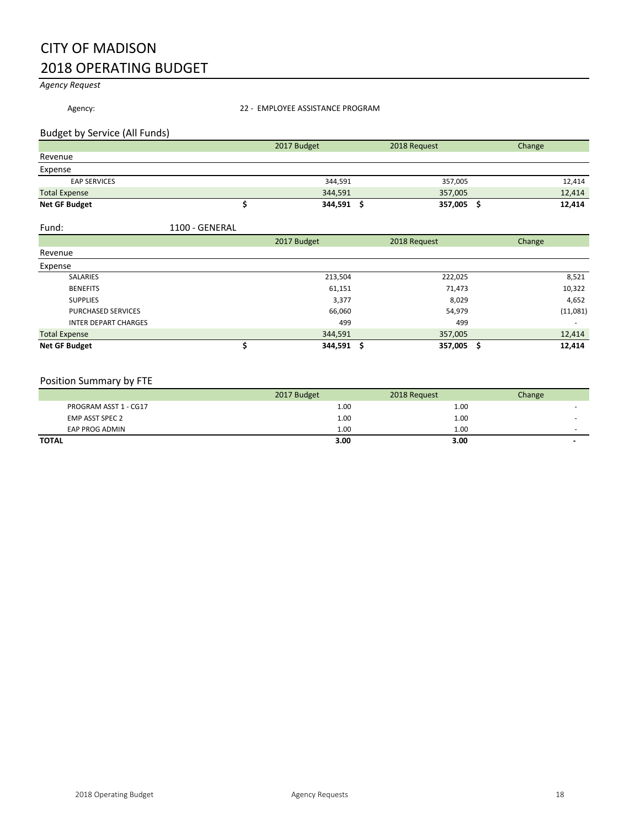# CITY OF MADISON 2018 OPERATING BUDGET

*Agency Request*

Agency: <br>22 - EMPLOYEE ASSISTANCE PROGRAM

# Budget by Service (All Funds)

|                      | 2017 Budget | 2018 Request | Change |
|----------------------|-------------|--------------|--------|
| Revenue              |             |              |        |
| Expense              |             |              |        |
| <b>EAP SERVICES</b>  | 344,591     | 357,005      | 12,414 |
| <b>Total Expense</b> | 344,591     | 357,005      | 12,414 |
| Net GF Budget        | 344,591     | 357,005      | 12,414 |

| Fund: | 1100 - GENERAL |
|-------|----------------|
|       |                |

|                             | 2017 Budget | 2018 Request |         | Change   |
|-----------------------------|-------------|--------------|---------|----------|
| Revenue                     |             |              |         |          |
| Expense                     |             |              |         |          |
| <b>SALARIES</b>             | 213,504     |              | 222,025 | 8,521    |
| <b>BENEFITS</b>             | 61,151      |              | 71,473  | 10,322   |
| <b>SUPPLIES</b>             | 3,377       |              | 8,029   | 4,652    |
| <b>PURCHASED SERVICES</b>   | 66,060      |              | 54,979  | (11,081) |
| <b>INTER DEPART CHARGES</b> | 499         |              | 499     |          |
| <b>Total Expense</b>        | 344,591     | 357,005      |         | 12,414   |
| <b>Net GF Budget</b>        | 344,591 \$  | 357,005      | S       | 12,414   |

# Position Summary by FTE

|                       | 2017 Budget | 2018 Request | Change |
|-----------------------|-------------|--------------|--------|
| PROGRAM ASST 1 - CG17 | 1.00        | 1.00         |        |
| EMP ASST SPEC 2       | 1.00        | 1.00         |        |
| EAP PROG ADMIN        | 1.00        | 1.00         | $\sim$ |
| <b>TOTAL</b>          | 3.00        | 3.00         | -      |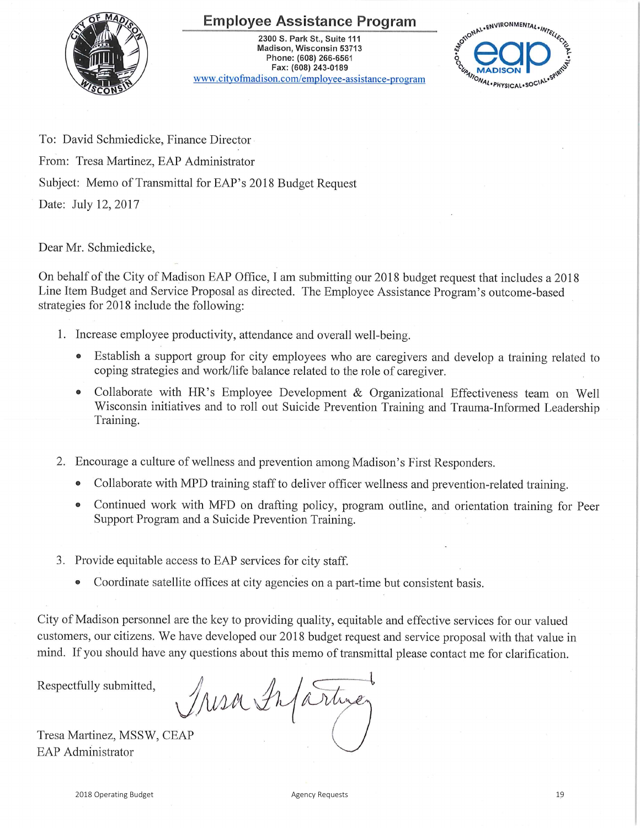# **Employee Assistance Program**



2300 S. Park St., Suite 111 Madison, Wisconsin 53713 Phone: (608) 266-6561 Fax: (608) 243-0189 www.cityofmadison.com/employee-assistance-program



To: David Schmiedicke, Finance Director

From: Tresa Martinez, EAP Administrator

Subject: Memo of Transmittal for EAP's 2018 Budget Request

Date: July 12, 2017

Dear Mr. Schmiedicke,

On behalf of the City of Madison EAP Office, I am submitting our 2018 budget request that includes a 2018 Line Item Budget and Service Proposal as directed. The Employee Assistance Program's outcome-based strategies for 2018 include the following:

- 1. Increase employee productivity, attendance and overall well-being.
	- Establish a support group for city employees who are caregivers and develop a training related to coping strategies and work/life balance related to the role of caregiver.
	- Collaborate with HR's Employee Development & Organizational Effectiveness team on Well Wisconsin initiatives and to roll out Suicide Prevention Training and Trauma-Informed Leadership Training.
- 2. Encourage a culture of wellness and prevention among Madison's First Responders.
	- Collaborate with MPD training staff to deliver officer wellness and prevention-related training.  $\bullet$
	- Continued work with MFD on drafting policy, program outline, and orientation training for Peer  $\bullet$ Support Program and a Suicide Prevention Training.
- 3. Provide equitable access to EAP services for city staff.
	- Coordinate satellite offices at city agencies on a part-time but consistent basis.

City of Madison personnel are the key to providing quality, equitable and effective services for our valued customers, our citizens. We have developed our 2018 budget request and service proposal with that value in mind. If you should have any questions about this memo of transmittal please contact me for clarification.

Respectfully submitted,

Iresa Infartimez

Tresa Martinez, MSSW, CEAP **EAP** Administrator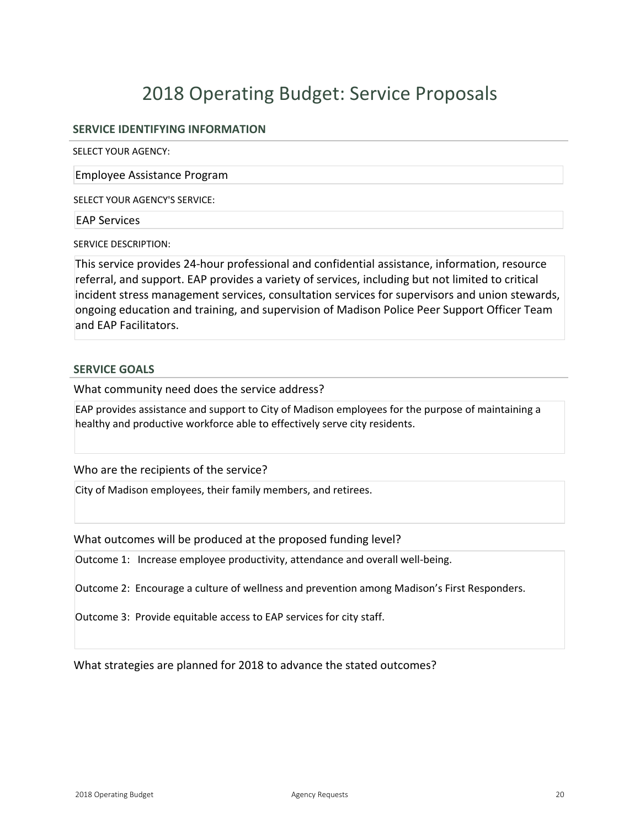# 2018 Operating Budget: Service Proposals

# **SERVICE IDENTIFYING INFORMATION**

SELECT YOUR AGENCY:

Employee Assistance Program

SELECT YOUR AGENCY'S SERVICE:

### EAP Services

SERVICE DESCRIPTION:

This service provides 24-hour professional and confidential assistance, information, resource referral, and support. EAP provides a variety of services, including but not limited to critical incident stress management services, consultation services for supervisors and union stewards, ongoing education and training, and supervision of Madison Police Peer Support Officer Team and EAP Facilitators.

## **SERVICE GOALS**

What community need does the service address?

EAP provides assistance and support to City of Madison employees for the purpose of maintaining a healthy and productive workforce able to effectively serve city residents.

Who are the recipients of the service?

City of Madison employees, their family members, and retirees.

What outcomes will be produced at the proposed funding level?

Outcome 1: Increase employee productivity, attendance and overall well-being.

Outcome 2: Encourage a culture of wellness and prevention among Madison's First Responders.

Outcome 3: Provide equitable access to EAP services for city staff.

What strategies are planned for 2018 to advance the stated outcomes?